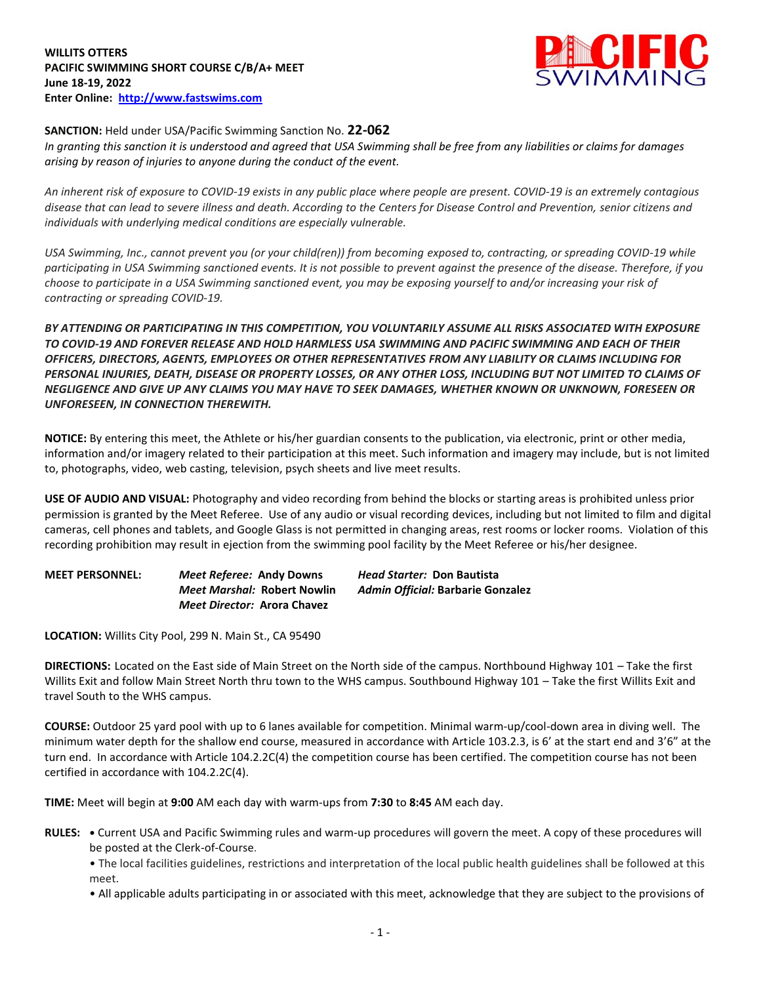

## **SANCTION:** Held under USA/Pacific Swimming Sanction No. **22-062**

*In granting this sanction it is understood and agreed that USA Swimming shall be free from any liabilities or claims for damages arising by reason of injuries to anyone during the conduct of the event.* 

*An inherent risk of exposure to COVID-19 exists in any public place where people are present. COVID-19 is an extremely contagious disease that can lead to severe illness and death. According to the Centers for Disease Control and Prevention, senior citizens and individuals with underlying medical conditions are especially vulnerable.*

*USA Swimming, Inc., cannot prevent you (or your child(ren)) from becoming exposed to, contracting, or spreading COVID-19 while participating in USA Swimming sanctioned events. It is not possible to prevent against the presence of the disease. Therefore, if you choose to participate in a USA Swimming sanctioned event, you may be exposing yourself to and/or increasing your risk of contracting or spreading COVID-19.*

*BY ATTENDING OR PARTICIPATING IN THIS COMPETITION, YOU VOLUNTARILY ASSUME ALL RISKS ASSOCIATED WITH EXPOSURE TO COVID-19 AND FOREVER RELEASE AND HOLD HARMLESS USA SWIMMING AND PACIFIC SWIMMING AND EACH OF THEIR OFFICERS, DIRECTORS, AGENTS, EMPLOYEES OR OTHER REPRESENTATIVES FROM ANY LIABILITY OR CLAIMS INCLUDING FOR PERSONAL INJURIES, DEATH, DISEASE OR PROPERTY LOSSES, OR ANY OTHER LOSS, INCLUDING BUT NOT LIMITED TO CLAIMS OF NEGLIGENCE AND GIVE UP ANY CLAIMS YOU MAY HAVE TO SEEK DAMAGES, WHETHER KNOWN OR UNKNOWN, FORESEEN OR UNFORESEEN, IN CONNECTION THEREWITH.*

**NOTICE:** By entering this meet, the Athlete or his/her guardian consents to the publication, via electronic, print or other media, information and/or imagery related to their participation at this meet. Such information and imagery may include, but is not limited to, photographs, video, web casting, television, psych sheets and live meet results.

**USE OF AUDIO AND VISUAL:** Photography and video recording from behind the blocks or starting areas is prohibited unless prior permission is granted by the Meet Referee. Use of any audio or visual recording devices, including but not limited to film and digital cameras, cell phones and tablets, and Google Glass is not permitted in changing areas, rest rooms or locker rooms. Violation of this recording prohibition may result in ejection from the swimming pool facility by the Meet Referee or his/her designee.

**MEET PERSONNEL:** *Meet Referee:* **Andy Downs** *Head Starter:* **Don Bautista** *Meet Marshal:* **Robert Nowlin** *Admin Official:* **Barbarie Gonzalez** *Meet Director:* **Arora Chavez**

**LOCATION:** Willits City Pool, 299 N. Main St., CA 95490

**DIRECTIONS:** Located on the East side of Main Street on the North side of the campus. Northbound Highway 101 – Take the first Willits Exit and follow Main Street North thru town to the WHS campus. Southbound Highway 101 – Take the first Willits Exit and travel South to the WHS campus.

**COURSE:** Outdoor 25 yard pool with up to 6 lanes available for competition. Minimal warm-up/cool-down area in diving well. The minimum water depth for the shallow end course, measured in accordance with Article 103.2.3, is 6' at the start end and 3'6" at the turn end. In accordance with Article 104.2.2C(4) the competition course has been certified. The competition course has not been certified in accordance with 104.2.2C(4).

**TIME:** Meet will begin at **9:00** AM each day with warm-ups from **7:30** to **8:45** AM each day.

**RULES: •** Current USA and Pacific Swimming rules and warm-up procedures will govern the meet. A copy of these procedures will be posted at the Clerk-of-Course.

• The local facilities guidelines, restrictions and interpretation of the local public health guidelines shall be followed at this meet.

• All applicable adults participating in or associated with this meet, acknowledge that they are subject to the provisions of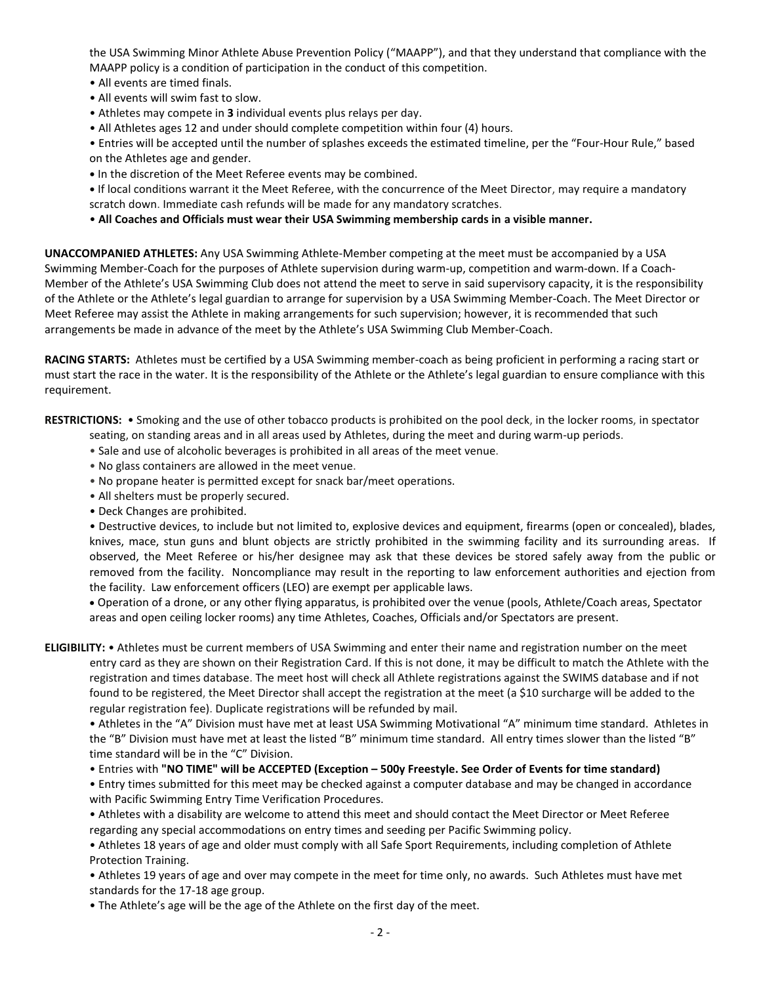the USA Swimming Minor Athlete Abuse Prevention Policy ("MAAPP"), and that they understand that compliance with the MAAPP policy is a condition of participation in the conduct of this competition.

- All events are timed finals.
- All events will swim fast to slow.
- Athletes may compete in **3** individual events plus relays per day.
- All Athletes ages 12 and under should complete competition within four (4) hours.
- Entries will be accepted until the number of splashes exceeds the estimated timeline, per the "Four-Hour Rule," based on the Athletes age and gender.
- **•** In the discretion of the Meet Referee events may be combined.
- **•** If local conditions warrant it the Meet Referee, with the concurrence of the Meet Director, may require a mandatory scratch down. Immediate cash refunds will be made for any mandatory scratches.
- **All Coaches and Officials must wear their USA Swimming membership cards in a visible manner.**

**UNACCOMPANIED ATHLETES:** Any USA Swimming Athlete-Member competing at the meet must be accompanied by a USA Swimming Member-Coach for the purposes of Athlete supervision during warm-up, competition and warm-down. If a Coach-Member of the Athlete's USA Swimming Club does not attend the meet to serve in said supervisory capacity, it is the responsibility of the Athlete or the Athlete's legal guardian to arrange for supervision by a USA Swimming Member-Coach. The Meet Director or Meet Referee may assist the Athlete in making arrangements for such supervision; however, it is recommended that such arrangements be made in advance of the meet by the Athlete's USA Swimming Club Member-Coach.

**RACING STARTS:** Athletes must be certified by a USA Swimming member-coach as being proficient in performing a racing start or must start the race in the water. It is the responsibility of the Athlete or the Athlete's legal guardian to ensure compliance with this requirement.

**RESTRICTIONS:** • Smoking and the use of other tobacco products is prohibited on the pool deck, in the locker rooms, in spectator

seating, on standing areas and in all areas used by Athletes, during the meet and during warm-up periods.

- Sale and use of alcoholic beverages is prohibited in all areas of the meet venue.
- No glass containers are allowed in the meet venue.
- No propane heater is permitted except for snack bar/meet operations.
- All shelters must be properly secured.
- Deck Changes are prohibited.

• Destructive devices, to include but not limited to, explosive devices and equipment, firearms (open or concealed), blades, knives, mace, stun guns and blunt objects are strictly prohibited in the swimming facility and its surrounding areas. If observed, the Meet Referee or his/her designee may ask that these devices be stored safely away from the public or removed from the facility. Noncompliance may result in the reporting to law enforcement authorities and ejection from the facility. Law enforcement officers (LEO) are exempt per applicable laws.

 Operation of a drone, or any other flying apparatus, is prohibited over the venue (pools, Athlete/Coach areas, Spectator areas and open ceiling locker rooms) any time Athletes, Coaches, Officials and/or Spectators are present.

**ELIGIBILITY:** • Athletes must be current members of USA Swimming and enter their name and registration number on the meet entry card as they are shown on their Registration Card. If this is not done, it may be difficult to match the Athlete with the registration and times database. The meet host will check all Athlete registrations against the SWIMS database and if not found to be registered, the Meet Director shall accept the registration at the meet (a \$10 surcharge will be added to the regular registration fee). Duplicate registrations will be refunded by mail.

• Athletes in the "A" Division must have met at least USA Swimming Motivational "A" minimum time standard. Athletes in the "B" Division must have met at least the listed "B" minimum time standard. All entry times slower than the listed "B" time standard will be in the "C" Division.

• Entries with **"NO TIME" will be ACCEPTED (Exception – 500y Freestyle. See Order of Events for time standard)**

• Entry times submitted for this meet may be checked against a computer database and may be changed in accordance with Pacific Swimming Entry Time Verification Procedures.

• Athletes with a disability are welcome to attend this meet and should contact the Meet Director or Meet Referee regarding any special accommodations on entry times and seeding per Pacific Swimming policy.

• Athletes 18 years of age and older must comply with all Safe Sport Requirements, including completion of Athlete Protection Training.

• Athletes 19 years of age and over may compete in the meet for time only, no awards. Such Athletes must have met standards for the 17-18 age group.

• The Athlete's age will be the age of the Athlete on the first day of the meet.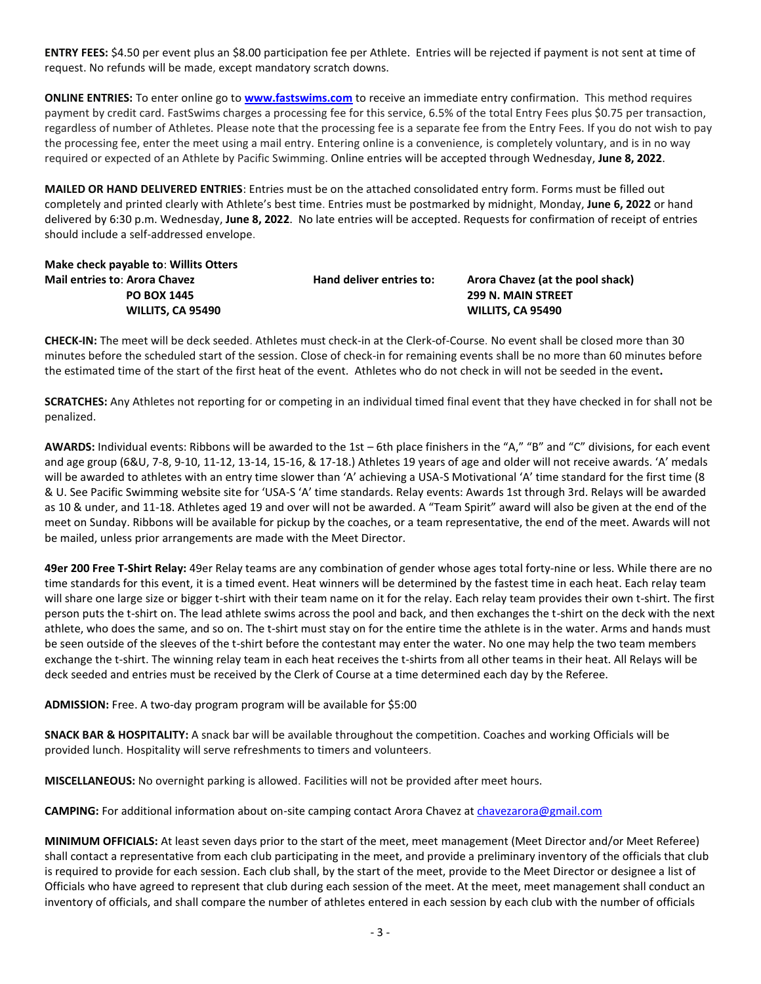**ENTRY FEES:** \$4.50 per event plus an \$8.00 participation fee per Athlete. Entries will be rejected if payment is not sent at time of request. No refunds will be made, except mandatory scratch downs.

**ONLINE ENTRIES:** To enter online go to **[www.fastswims.com](http://www.fastswims.com/)** to receive an immediate entry confirmation. This method requires payment by credit card. FastSwims charges a processing fee for this service, 6.5% of the total Entry Fees plus \$0.75 per transaction, regardless of number of Athletes. Please note that the processing fee is a separate fee from the Entry Fees. If you do not wish to pay the processing fee, enter the meet using a mail entry. Entering online is a convenience, is completely voluntary, and is in no way required or expected of an Athlete by Pacific Swimming. Online entries will be accepted through Wednesday, **June 8, 2022**.

**MAILED OR HAND DELIVERED ENTRIES**: Entries must be on the attached consolidated entry form. Forms must be filled out completely and printed clearly with Athlete's best time. Entries must be postmarked by midnight, Monday, **June 6, 2022** or hand delivered by 6:30 p.m. Wednesday, **June 8, 2022**. No late entries will be accepted. Requests for confirmation of receipt of entries should include a self-addressed envelope.

**Make check payable to**: **Willits Otters Mail entries to**: **Arora Chavez Hand deliver entries to: Arora Chavez (at the pool shack) PO BOX 1445 299 N. MAIN STREET**

 **WILLITS, CA 95490 WILLITS, CA 95490**

**CHECK-IN:** The meet will be deck seeded. Athletes must check-in at the Clerk-of-Course. No event shall be closed more than 30 minutes before the scheduled start of the session. Close of check-in for remaining events shall be no more than 60 minutes before the estimated time of the start of the first heat of the event. Athletes who do not check in will not be seeded in the event**.**

**SCRATCHES:** Any Athletes not reporting for or competing in an individual timed final event that they have checked in for shall not be penalized.

**AWARDS:** Individual events: Ribbons will be awarded to the 1st – 6th place finishers in the "A," "B" and "C" divisions, for each event and age group (6&U, 7-8, 9-10, 11-12, 13-14, 15-16, & 17-18.) Athletes 19 years of age and older will not receive awards. 'A' medals will be awarded to athletes with an entry time slower than 'A' achieving a USA-S Motivational 'A' time standard for the first time (8 & U. See Pacific Swimming website site for 'USA-S 'A' time standards. Relay events: Awards 1st through 3rd. Relays will be awarded as 10 & under, and 11-18. Athletes aged 19 and over will not be awarded. A "Team Spirit" award will also be given at the end of the meet on Sunday. Ribbons will be available for pickup by the coaches, or a team representative, the end of the meet. Awards will not be mailed, unless prior arrangements are made with the Meet Director.

**49er 200 Free T-Shirt Relay:** 49er Relay teams are any combination of gender whose ages total forty-nine or less. While there are no time standards for this event, it is a timed event. Heat winners will be determined by the fastest time in each heat. Each relay team will share one large size or bigger t-shirt with their team name on it for the relay. Each relay team provides their own t-shirt. The first person puts the t-shirt on. The lead athlete swims across the pool and back, and then exchanges the t-shirt on the deck with the next athlete, who does the same, and so on. The t-shirt must stay on for the entire time the athlete is in the water. Arms and hands must be seen outside of the sleeves of the t-shirt before the contestant may enter the water. No one may help the two team members exchange the t-shirt. The winning relay team in each heat receives the t-shirts from all other teams in their heat. All Relays will be deck seeded and entries must be received by the Clerk of Course at a time determined each day by the Referee.

**ADMISSION:** Free. A two-day program program will be available for \$5:00

**SNACK BAR & HOSPITALITY:** A snack bar will be available throughout the competition. Coaches and working Officials will be provided lunch. Hospitality will serve refreshments to timers and volunteers.

**MISCELLANEOUS:** No overnight parking is allowed. Facilities will not be provided after meet hours.

**CAMPING:** For additional information about on-site camping contact Arora Chavez at [chavezarora@gmail.com](mailto:chavezarora@gmail.com)

**MINIMUM OFFICIALS:** At least seven days prior to the start of the meet, meet management (Meet Director and/or Meet Referee) shall contact a representative from each club participating in the meet, and provide a preliminary inventory of the officials that club is required to provide for each session. Each club shall, by the start of the meet, provide to the Meet Director or designee a list of Officials who have agreed to represent that club during each session of the meet. At the meet, meet management shall conduct an inventory of officials, and shall compare the number of athletes entered in each session by each club with the number of officials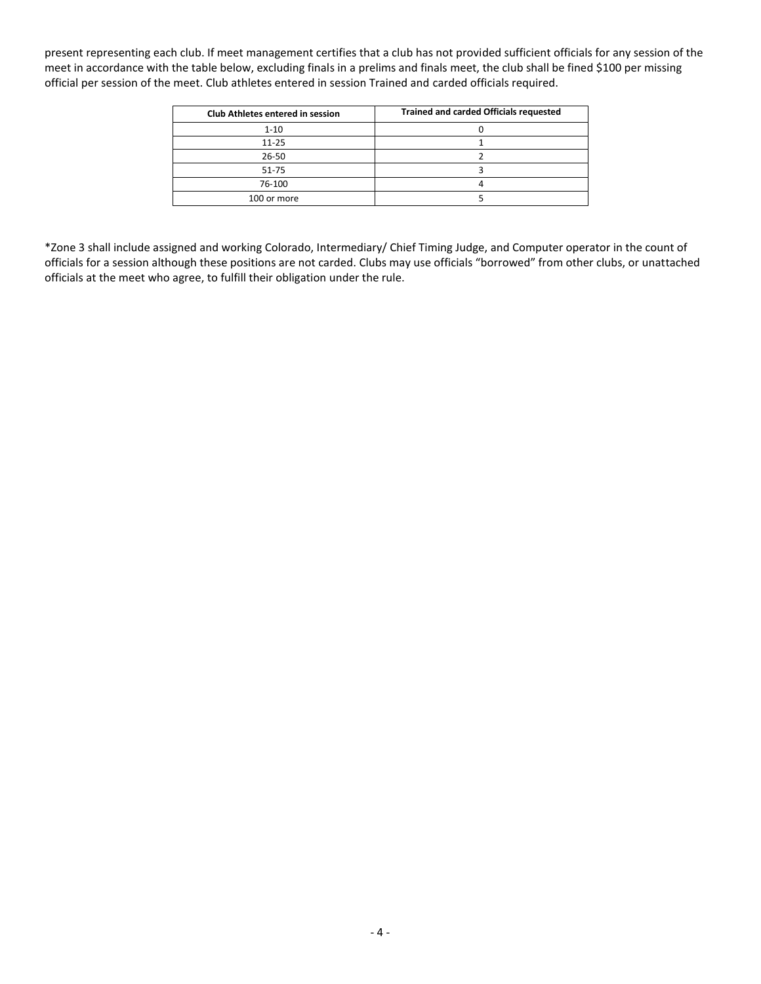present representing each club. If meet management certifies that a club has not provided sufficient officials for any session of the meet in accordance with the table below, excluding finals in a prelims and finals meet, the club shall be fined \$100 per missing official per session of the meet. Club athletes entered in session Trained and carded officials required.

| <b>Club Athletes entered in session</b> | <b>Trained and carded Officials requested</b> |
|-----------------------------------------|-----------------------------------------------|
| $1 - 10$                                |                                               |
| $11 - 25$                               |                                               |
| 26-50                                   |                                               |
| 51-75                                   |                                               |
| 76-100                                  |                                               |
| 100 or more                             |                                               |

\*Zone 3 shall include assigned and working Colorado, Intermediary/ Chief Timing Judge, and Computer operator in the count of officials for a session although these positions are not carded. Clubs may use officials "borrowed" from other clubs, or unattached officials at the meet who agree, to fulfill their obligation under the rule.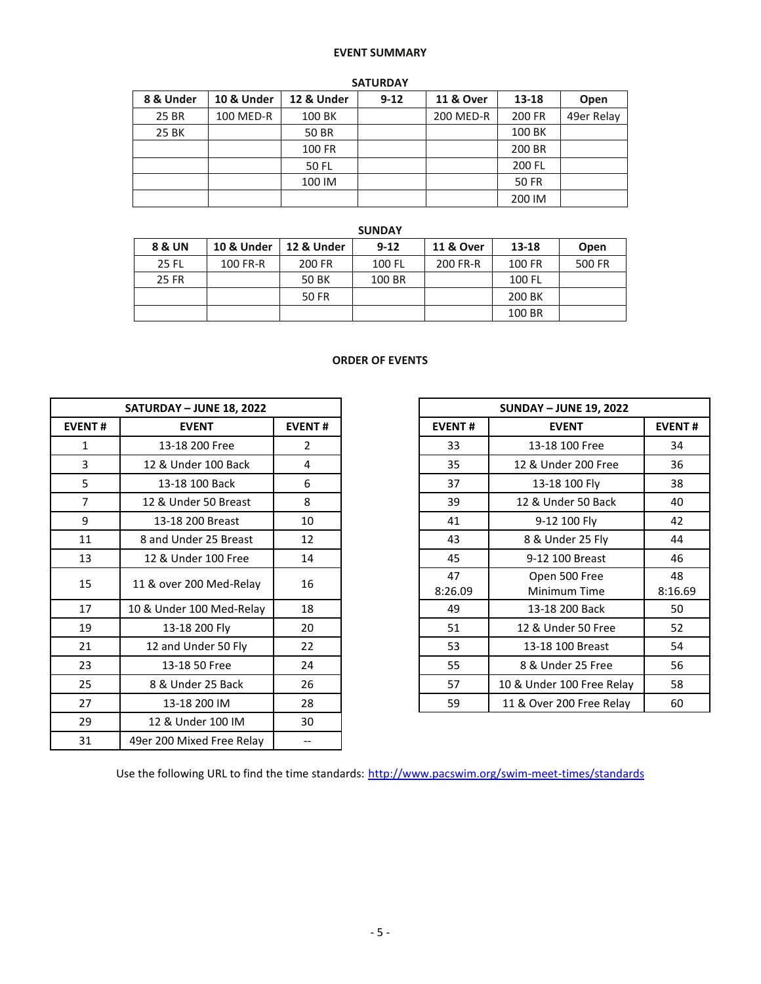## **EVENT SUMMARY**

| <b>SATURDAY</b> |            |            |          |                      |              |            |  |  |  |  |
|-----------------|------------|------------|----------|----------------------|--------------|------------|--|--|--|--|
| 8 & Under       | 10 & Under | 12 & Under | $9 - 12$ | <b>11 &amp; Over</b> | 13-18        | Open       |  |  |  |  |
| 25 BR           | 100 MED-R  | 100 BK     |          | 200 MED-R            | 200 FR       | 49er Relay |  |  |  |  |
| 25 BK           |            | 50 BR      |          |                      | 100 BK       |            |  |  |  |  |
|                 |            | 100 FR     |          |                      | 200 BR       |            |  |  |  |  |
|                 |            | 50 FL      |          |                      | 200 FL       |            |  |  |  |  |
|                 |            | 100 IM     |          |                      | <b>50 FR</b> |            |  |  |  |  |
|                 |            |            |          |                      | 200 IM       |            |  |  |  |  |

|                   |            |            | <b>SUNDAY</b> |                      |           |        |
|-------------------|------------|------------|---------------|----------------------|-----------|--------|
| <b>8 &amp; UN</b> | 10 & Under | 12 & Under | $9-12$        | <b>11 &amp; Over</b> | $13 - 18$ | Open   |
| <b>25 FL</b>      | 100 FR-R   | 200 FR     | 100 FL        | 200 FR-R             | 100 FR    | 500 FR |
| 25 FR             |            | 50 BK      | 100 BR        |                      | 100 FL    |        |
|                   |            | 50 FR      |               |                      | 200 BK    |        |
|                   |            |            |               |                      | 100 BR    |        |

## **ORDER OF EVENTS**

|                | <b>SATURDAY - JUNE 18, 2022</b> |               |               | <b>SUNDAY - JUNE 19, 2022</b> |
|----------------|---------------------------------|---------------|---------------|-------------------------------|
| <b>EVENT#</b>  | <b>EVENT</b>                    | <b>EVENT#</b> | <b>EVENT#</b> | <b>EVENT</b>                  |
| 1              | 13-18 200 Free                  | 2             | 33            | 13-18 100 Free                |
| 3              | 12 & Under 100 Back             | 4             | 35            | 12 & Under 200 Free           |
| 5              | 13-18 100 Back                  | 6             | 37            | 13-18 100 Fly                 |
| $\overline{7}$ | 12 & Under 50 Breast            | 8             | 39            | 12 & Under 50 Back            |
| 9              | 13-18 200 Breast                | 10            | 41            | 9-12 100 Fly                  |
| 11             | 8 and Under 25 Breast           | 12            | 43            | 8 & Under 25 Fly              |
| 13             | 12 & Under 100 Free             | 14            | 45            | 9-12 100 Breast               |
| 15             | 11 & over 200 Med-Relay         | 16            | 47<br>8:26.09 | Open 500 Free<br>Minimum Time |
| 17             | 10 & Under 100 Med-Relay        | 18            | 49            | 13-18 200 Back                |
| 19             | 13-18 200 Fly                   | 20            | 51            | 12 & Under 50 Free            |
| 21             | 12 and Under 50 Fly             | 22            | 53            | 13-18 100 Breast              |
| 23             | 13-18 50 Free                   | 24            | 55            | 8 & Under 25 Free             |
| 25             | 8 & Under 25 Back               | 26            | 57            | 10 & Under 100 Free Rela      |
| 27             | 13-18 200 IM                    | 28            | 59            | 11 & Over 200 Free Relay      |
| 29             | 12 & Under 100 IM               | 30            |               |                               |
| 31             | 49er 200 Mixed Free Relay       | $-$           |               |                               |

|                | <b>SATURDAY - JUNE 18, 2022</b> |                | <b>SUNDAY - JUNE 19, 2022</b> |                               |               |
|----------------|---------------------------------|----------------|-------------------------------|-------------------------------|---------------|
| <b>EVENT#</b>  | <b>EVENT</b>                    | <b>EVENT#</b>  | <b>EVENT#</b>                 | <b>EVENT#</b>                 |               |
| 1              | 13-18 200 Free                  | $\overline{2}$ | 33                            | 13-18 100 Free                | 34            |
| 3              | 12 & Under 100 Back             | 4              | 35                            | 12 & Under 200 Free           | 36            |
| 5              | 13-18 100 Back                  | 6              | 37                            | 13-18 100 Fly                 | 38            |
| $\overline{7}$ | 12 & Under 50 Breast            | 8              | 39                            | 12 & Under 50 Back            | 40            |
| 9              | 13-18 200 Breast                | 10             | 41                            | 9-12 100 Fly                  | 42            |
| 11             | 8 and Under 25 Breast           | 12             | 43                            | 8 & Under 25 Fly              | 44            |
| 13             | 12 & Under 100 Free             | 14             | 45                            | 9-12 100 Breast               | 46            |
| 15             | 11 & over 200 Med-Relay         | 16             | 47<br>8:26.09                 | Open 500 Free<br>Minimum Time | 48<br>8:16.69 |
| 17             | 10 & Under 100 Med-Relay        | 18             | 49                            | 13-18 200 Back                | 50            |
| 19             | 13-18 200 Fly                   | 20             | 51                            | 12 & Under 50 Free            | 52            |
| 21             | 12 and Under 50 Fly             | 22             | 53                            | 13-18 100 Breast              | 54            |
| 23             | 13-18 50 Free                   | 24             | 55                            | 8 & Under 25 Free             | 56            |
| 25             | 8 & Under 25 Back               | 26             | 57                            | 10 & Under 100 Free Relay     | 58            |
| 27             | 13-18 200 IM                    | 28             | 59                            | 11 & Over 200 Free Relay      | 60            |

Use the following URL to find the time standards: <http://www.pacswim.org/swim-meet-times/standards>